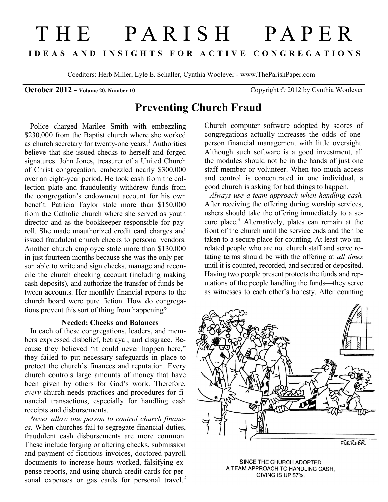# THE PARISH PAPER **I D E A S A N D I N S I G H T S F O R A C T I V E C O N G R E G A T I O N S**

Coeditors: Herb Miller, Lyle E. Schaller, Cynthia Woolever - www.TheParishPaper.com

**October 2012 - Volume 20, Number 10** Copyright © 2012 by Cynthia Woolever

# **Preventing Church Fraud**

 Police charged Marilee Smith with embezzling \$230,000 from the Baptist church where she worked as church secretary for twenty-one years.<sup>1</sup> Authorities believe that she issued checks to herself and forged signatures. John Jones, treasurer of a United Church of Christ congregation, embezzled nearly \$300,000 over an eight-year period. He took cash from the collection plate and fraudulently withdrew funds from the congregation's endowment account for his own benefit. Patricia Taylor stole more than \$150,000 from the Catholic church where she served as youth director and as the bookkeeper responsible for payroll. She made unauthorized credit card charges and issued fraudulent church checks to personal vendors. Another church employee stole more than \$130,000 in just fourteen months because she was the only person able to write and sign checks, manage and reconcile the church checking account (including making cash deposits), and authorize the transfer of funds between accounts. Her monthly financial reports to the church board were pure fiction. How do congregations prevent this sort of thing from happening?

## **Needed: Checks and Balances**

 In each of these congregations, leaders, and members expressed disbelief, betrayal, and disgrace. Because they believed "it could never happen here," they failed to put necessary safeguards in place to protect the church's finances and reputation. Every church controls large amounts of money that have been given by others for God's work. Therefore, *every* church needs practices and procedures for financial transactions, especially for handling cash receipts and disbursements.

 *Never allow one person to control church finances.* When churches fail to segregate financial duties, fraudulent cash disbursements are more common. These include forging or altering checks, submission and payment of fictitious invoices, doctored payroll documents to increase hours worked, falsifying expense reports, and using church credit cards for personal expenses or gas cards for personal travel.<sup>2</sup>

Church computer software adopted by scores of congregations actually increases the odds of oneperson financial management with little oversight. Although such software is a good investment, all the modules should not be in the hands of just one staff member or volunteer. When too much access and control is concentrated in one individual, a good church is asking for bad things to happen.

 *Always use a team approach when handling cash.*  After receiving the offering during worship services, ushers should take the offering immediately to a secure place.<sup>3</sup> Alternatively, plates can remain at the front of the church until the service ends and then be taken to a secure place for counting. At least two unrelated people who are not church staff and serve rotating terms should be with the offering at *all times* until it is counted, recorded, and secured or deposited. Having two people present protects the funds and reputations of the people handling the funds—they serve as witnesses to each other's honesty. After counting



SINCE THE CHURCH ADOPTED A TEAM APPROACH TO HANDLING CASH, GIVING IS UP 57%.